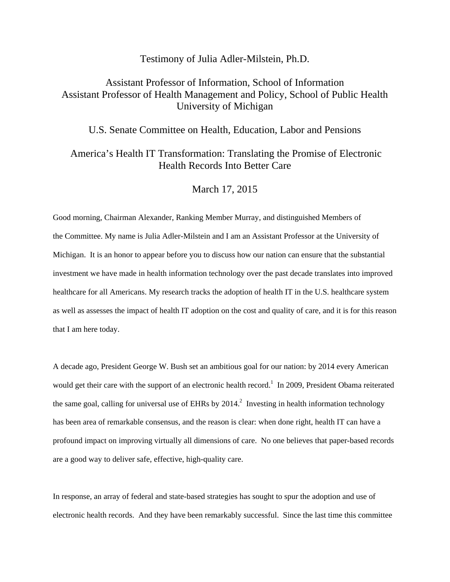## Testimony of Julia Adler-Milstein, Ph.D.

## Assistant Professor of Information, School of Information Assistant Professor of Health Management and Policy, School of Public Health University of Michigan

U.S. Senate Committee on Health, Education, Labor and Pensions

## America's Health IT Transformation: Translating the Promise of Electronic Health Records Into Better Care

## March 17, 2015

Good morning, Chairman Alexander, Ranking Member Murray, and distinguished Members of the Committee. My name is Julia Adler-Milstein and I am an Assistant Professor at the University of Michigan. It is an honor to appear before you to discuss how our nation can ensure that the substantial investment we have made in health information technology over the past decade translates into improved healthcare for all Americans. My research tracks the adoption of health IT in the U.S. healthcare system as well as assesses the impact of health IT adoption on the cost and quality of care, and it is for this reason that I am here today.

A decade ago, President George W. Bush set an ambitious goal for our nation: by 2014 every American would get their care with the support of an electronic health record.<sup>1</sup> In 2009, President Obama reiterated the same goal, calling for universal use of EHRs by  $2014$ <sup>2</sup> Investing in health information technology has been area of remarkable consensus, and the reason is clear: when done right, health IT can have a profound impact on improving virtually all dimensions of care. No one believes that paper-based records are a good way to deliver safe, effective, high-quality care.

In response, an array of federal and state-based strategies has sought to spur the adoption and use of electronic health records. And they have been remarkably successful. Since the last time this committee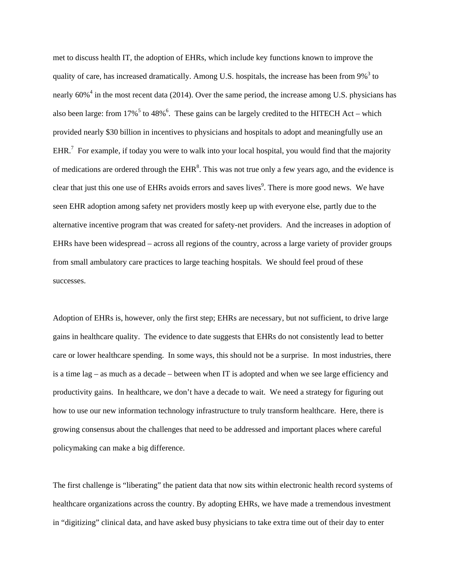met to discuss health IT, the adoption of EHRs, which include key functions known to improve the quality of care, has increased dramatically. Among U.S. hospitals, the increase has been from  $9\%$ <sup>3</sup> to nearly 60%<sup>4</sup> in the most recent data (2014). Over the same period, the increase among U.S. physicians has also been large: from  $17\%$ <sup>5</sup> to 48%<sup>6</sup>. These gains can be largely credited to the HITECH Act – which provided nearly \$30 billion in incentives to physicians and hospitals to adopt and meaningfully use an EHR.<sup>7</sup> For example, if today you were to walk into your local hospital, you would find that the majority of medications are ordered through the  $EHR<sup>8</sup>$ . This was not true only a few years ago, and the evidence is clear that just this one use of EHRs avoids errors and saves lives<sup>9</sup>. There is more good news. We have seen EHR adoption among safety net providers mostly keep up with everyone else, partly due to the alternative incentive program that was created for safety-net providers. And the increases in adoption of EHRs have been widespread – across all regions of the country, across a large variety of provider groups from small ambulatory care practices to large teaching hospitals. We should feel proud of these successes.

Adoption of EHRs is, however, only the first step; EHRs are necessary, but not sufficient, to drive large gains in healthcare quality. The evidence to date suggests that EHRs do not consistently lead to better care or lower healthcare spending. In some ways, this should not be a surprise. In most industries, there is a time lag – as much as a decade – between when IT is adopted and when we see large efficiency and productivity gains. In healthcare, we don't have a decade to wait. We need a strategy for figuring out how to use our new information technology infrastructure to truly transform healthcare. Here, there is growing consensus about the challenges that need to be addressed and important places where careful policymaking can make a big difference.

The first challenge is "liberating" the patient data that now sits within electronic health record systems of healthcare organizations across the country. By adopting EHRs, we have made a tremendous investment in "digitizing" clinical data, and have asked busy physicians to take extra time out of their day to enter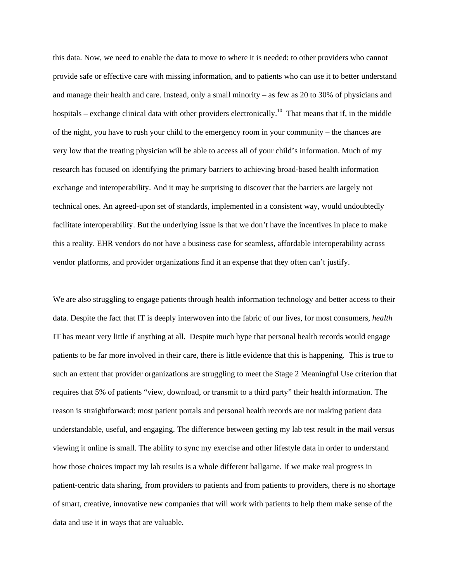this data. Now, we need to enable the data to move to where it is needed: to other providers who cannot provide safe or effective care with missing information, and to patients who can use it to better understand and manage their health and care. Instead, only a small minority – as few as 20 to 30% of physicians and hospitals – exchange clinical data with other providers electronically.<sup>10</sup> That means that if, in the middle of the night, you have to rush your child to the emergency room in your community – the chances are very low that the treating physician will be able to access all of your child's information. Much of my research has focused on identifying the primary barriers to achieving broad-based health information exchange and interoperability. And it may be surprising to discover that the barriers are largely not technical ones. An agreed-upon set of standards, implemented in a consistent way, would undoubtedly facilitate interoperability. But the underlying issue is that we don't have the incentives in place to make this a reality. EHR vendors do not have a business case for seamless, affordable interoperability across vendor platforms, and provider organizations find it an expense that they often can't justify.

We are also struggling to engage patients through health information technology and better access to their data. Despite the fact that IT is deeply interwoven into the fabric of our lives, for most consumers, *health* IT has meant very little if anything at all. Despite much hype that personal health records would engage patients to be far more involved in their care, there is little evidence that this is happening. This is true to such an extent that provider organizations are struggling to meet the Stage 2 Meaningful Use criterion that requires that 5% of patients "view, download, or transmit to a third party" their health information. The reason is straightforward: most patient portals and personal health records are not making patient data understandable, useful, and engaging. The difference between getting my lab test result in the mail versus viewing it online is small. The ability to sync my exercise and other lifestyle data in order to understand how those choices impact my lab results is a whole different ballgame. If we make real progress in patient-centric data sharing, from providers to patients and from patients to providers, there is no shortage of smart, creative, innovative new companies that will work with patients to help them make sense of the data and use it in ways that are valuable.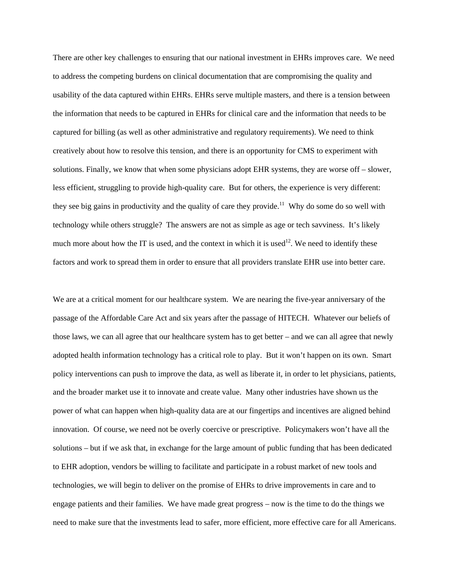There are other key challenges to ensuring that our national investment in EHRs improves care. We need to address the competing burdens on clinical documentation that are compromising the quality and usability of the data captured within EHRs. EHRs serve multiple masters, and there is a tension between the information that needs to be captured in EHRs for clinical care and the information that needs to be captured for billing (as well as other administrative and regulatory requirements). We need to think creatively about how to resolve this tension, and there is an opportunity for CMS to experiment with solutions. Finally, we know that when some physicians adopt EHR systems, they are worse off – slower, less efficient, struggling to provide high-quality care. But for others, the experience is very different: they see big gains in productivity and the quality of care they provide.<sup>11</sup> Why do some do so well with technology while others struggle? The answers are not as simple as age or tech savviness. It's likely much more about how the IT is used, and the context in which it is used<sup>12</sup>. We need to identify these factors and work to spread them in order to ensure that all providers translate EHR use into better care.

We are at a critical moment for our healthcare system. We are nearing the five-year anniversary of the passage of the Affordable Care Act and six years after the passage of HITECH. Whatever our beliefs of those laws, we can all agree that our healthcare system has to get better – and we can all agree that newly adopted health information technology has a critical role to play. But it won't happen on its own. Smart policy interventions can push to improve the data, as well as liberate it, in order to let physicians, patients, and the broader market use it to innovate and create value. Many other industries have shown us the power of what can happen when high-quality data are at our fingertips and incentives are aligned behind innovation. Of course, we need not be overly coercive or prescriptive. Policymakers won't have all the solutions – but if we ask that, in exchange for the large amount of public funding that has been dedicated to EHR adoption, vendors be willing to facilitate and participate in a robust market of new tools and technologies, we will begin to deliver on the promise of EHRs to drive improvements in care and to engage patients and their families. We have made great progress – now is the time to do the things we need to make sure that the investments lead to safer, more efficient, more effective care for all Americans.